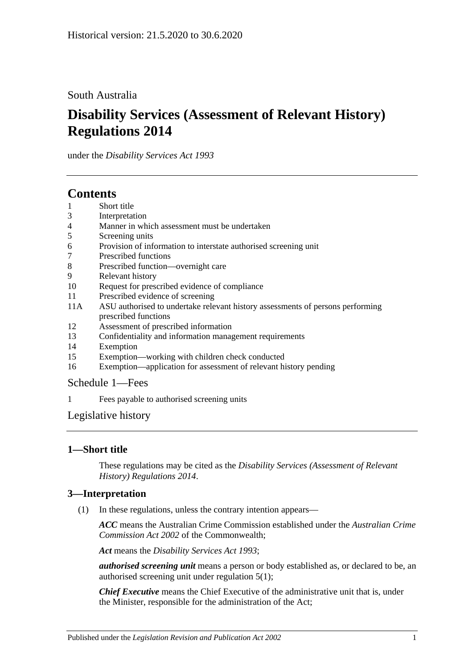## South Australia

# **Disability Services (Assessment of Relevant History) Regulations 2014**

under the *Disability Services Act 1993*

## **Contents**

- 1 [Short title](#page-0-0)
- 3 [Interpretation](#page-0-1)
- 4 [Manner in which assessment must be undertaken](#page-1-0)
- 5 [Screening units](#page-1-1)
- 6 [Provision of information to interstate authorised screening unit](#page-1-2)
- 7 [Prescribed functions](#page-1-3)
- 8 [Prescribed function—overnight care](#page-2-0)
- 9 [Relevant history](#page-2-1)
- 10 [Request for prescribed evidence of compliance](#page-3-0)
- 11 [Prescribed evidence of screening](#page-3-1)
- 11A [ASU authorised to undertake relevant history assessments of persons performing](#page-3-2)  [prescribed functions](#page-3-2)
- 12 [Assessment of prescribed information](#page-3-3)
- 13 [Confidentiality and information management requirements](#page-4-0)
- 14 [Exemption](#page-4-1)
- 15 [Exemption—working with children check conducted](#page-5-0)
- 16 [Exemption—application for assessment of relevant history pending](#page-5-1)

#### [Schedule](#page-6-0) 1—Fees

1 [Fees payable to authorised screening units](#page-6-1)

## [Legislative history](#page-7-0)

## <span id="page-0-0"></span>**1—Short title**

These regulations may be cited as the *Disability Services (Assessment of Relevant History) Regulations 2014*.

## <span id="page-0-1"></span>**3—Interpretation**

(1) In these regulations, unless the contrary intention appears—

*ACC* means the Australian Crime Commission established under the *Australian Crime Commission Act 2002* of the Commonwealth;

*Act* means the *[Disability Services Act](http://www.legislation.sa.gov.au/index.aspx?action=legref&type=act&legtitle=Disability%20Services%20Act%201993) 1993*;

*authorised screening unit* means a person or body established as, or declared to be, an authorised screening unit under [regulation](#page-1-4) 5(1);

*Chief Executive* means the Chief Executive of the administrative unit that is, under the Minister, responsible for the administration of the Act;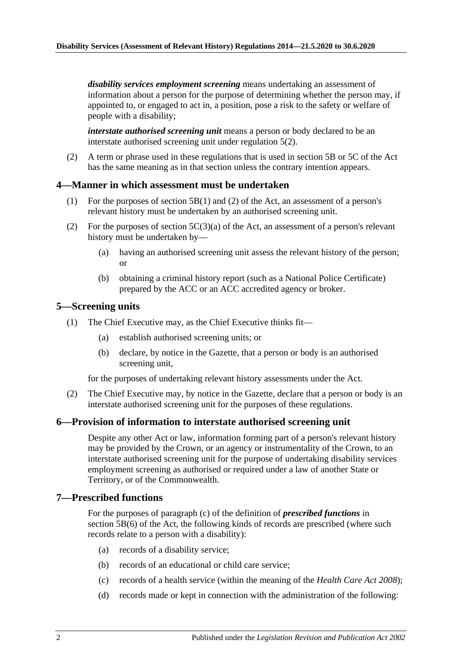*disability services employment screening* means undertaking an assessment of information about a person for the purpose of determining whether the person may, if appointed to, or engaged to act in, a position, pose a risk to the safety or welfare of people with a disability;

*interstate authorised screening unit* means a person or body declared to be an interstate authorised screening unit under [regulation](#page-1-5) 5(2).

(2) A term or phrase used in these regulations that is used in section 5B or 5C of the Act has the same meaning as in that section unless the contrary intention appears.

#### <span id="page-1-0"></span>**4—Manner in which assessment must be undertaken**

- (1) For the purposes of section 5B(1) and (2) of the Act, an assessment of a person's relevant history must be undertaken by an authorised screening unit.
- (2) For the purposes of section  $5C(3)(a)$  of the Act, an assessment of a person's relevant history must be undertaken by—
	- (a) having an authorised screening unit assess the relevant history of the person; or
	- (b) obtaining a criminal history report (such as a National Police Certificate) prepared by the ACC or an ACC accredited agency or broker.

#### <span id="page-1-4"></span><span id="page-1-1"></span>**5—Screening units**

- (1) The Chief Executive may, as the Chief Executive thinks fit—
	- (a) establish authorised screening units; or
	- (b) declare, by notice in the Gazette, that a person or body is an authorised screening unit,

for the purposes of undertaking relevant history assessments under the Act.

<span id="page-1-5"></span>(2) The Chief Executive may, by notice in the Gazette, declare that a person or body is an interstate authorised screening unit for the purposes of these regulations.

#### <span id="page-1-2"></span>**6—Provision of information to interstate authorised screening unit**

Despite any other Act or law, information forming part of a person's relevant history may be provided by the Crown, or an agency or instrumentality of the Crown, to an interstate authorised screening unit for the purpose of undertaking disability services employment screening as authorised or required under a law of another State or Territory, or of the Commonwealth.

#### <span id="page-1-3"></span>**7—Prescribed functions**

For the purposes of paragraph (c) of the definition of *prescribed functions* in section 5B(6) of the Act, the following kinds of records are prescribed (where such records relate to a person with a disability):

- (a) records of a disability service;
- (b) records of an educational or child care service;
- (c) records of a health service (within the meaning of the *[Health Care Act](http://www.legislation.sa.gov.au/index.aspx?action=legref&type=act&legtitle=Health%20Care%20Act%202008) 2008*);
- (d) records made or kept in connection with the administration of the following: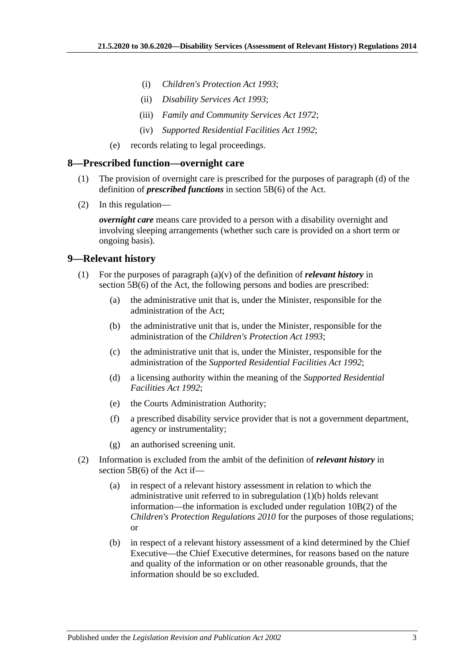- (i) *[Children's Protection Act](http://www.legislation.sa.gov.au/index.aspx?action=legref&type=act&legtitle=Childrens%20Protection%20Act%201993) 1993*;
- (ii) *[Disability Services Act](http://www.legislation.sa.gov.au/index.aspx?action=legref&type=act&legtitle=Disability%20Services%20Act%201993) 1993*;
- (iii) *[Family and Community Services Act](http://www.legislation.sa.gov.au/index.aspx?action=legref&type=act&legtitle=Family%20and%20Community%20Services%20Act%201972) 1972*;
- (iv) *[Supported Residential Facilities Act](http://www.legislation.sa.gov.au/index.aspx?action=legref&type=act&legtitle=Supported%20Residential%20Facilities%20Act%201992) 1992*;
- (e) records relating to legal proceedings.

#### <span id="page-2-0"></span>**8—Prescribed function—overnight care**

- (1) The provision of overnight care is prescribed for the purposes of paragraph (d) of the definition of *prescribed functions* in section 5B(6) of the Act.
- (2) In this regulation—

*overnight care* means care provided to a person with a disability overnight and involving sleeping arrangements (whether such care is provided on a short term or ongoing basis).

#### <span id="page-2-1"></span>**9—Relevant history**

- <span id="page-2-2"></span>(1) For the purposes of paragraph (a)(v) of the definition of *relevant history* in section 5B(6) of the Act, the following persons and bodies are prescribed:
	- (a) the administrative unit that is, under the Minister, responsible for the administration of the Act;
	- (b) the administrative unit that is, under the Minister, responsible for the administration of the *[Children's Protection Act](http://www.legislation.sa.gov.au/index.aspx?action=legref&type=act&legtitle=Childrens%20Protection%20Act%201993) 1993*;
	- (c) the administrative unit that is, under the Minister, responsible for the administration of the *[Supported Residential Facilities Act](http://www.legislation.sa.gov.au/index.aspx?action=legref&type=act&legtitle=Supported%20Residential%20Facilities%20Act%201992) 1992*;
	- (d) a licensing authority within the meaning of the *[Supported Residential](http://www.legislation.sa.gov.au/index.aspx?action=legref&type=act&legtitle=Supported%20Residential%20Facilities%20Act%201992)  [Facilities Act](http://www.legislation.sa.gov.au/index.aspx?action=legref&type=act&legtitle=Supported%20Residential%20Facilities%20Act%201992) 1992*;
	- (e) the Courts Administration Authority;
	- (f) a prescribed disability service provider that is not a government department, agency or instrumentality;
	- (g) an authorised screening unit.
- (2) Information is excluded from the ambit of the definition of *relevant history* in section 5B(6) of the Act if—
	- (a) in respect of a relevant history assessment in relation to which the administrative unit referred to in [subregulation](#page-2-2) (1)(b) holds relevant information—the information is excluded under regulation 10B(2) of the *[Children's Protection Regulations](http://www.legislation.sa.gov.au/index.aspx?action=legref&type=subordleg&legtitle=Childrens%20Protection%20Regulations%202010) 2010* for the purposes of those regulations; or
	- (b) in respect of a relevant history assessment of a kind determined by the Chief Executive—the Chief Executive determines, for reasons based on the nature and quality of the information or on other reasonable grounds, that the information should be so excluded.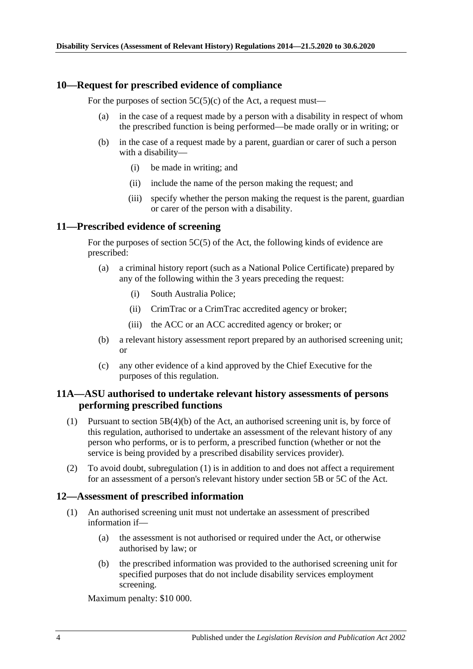#### <span id="page-3-0"></span>**10—Request for prescribed evidence of compliance**

For the purposes of section  $5C(5)(c)$  of the Act, a request must—

- (a) in the case of a request made by a person with a disability in respect of whom the prescribed function is being performed—be made orally or in writing; or
- (b) in the case of a request made by a parent, guardian or carer of such a person with a disability—
	- (i) be made in writing; and
	- (ii) include the name of the person making the request; and
	- (iii) specify whether the person making the request is the parent, guardian or carer of the person with a disability.

#### <span id="page-3-1"></span>**11—Prescribed evidence of screening**

For the purposes of section 5C(5) of the Act, the following kinds of evidence are prescribed:

- (a) a criminal history report (such as a National Police Certificate) prepared by any of the following within the 3 years preceding the request:
	- (i) South Australia Police;
	- (ii) CrimTrac or a CrimTrac accredited agency or broker;
	- (iii) the ACC or an ACC accredited agency or broker; or
- (b) a relevant history assessment report prepared by an authorised screening unit; or
- (c) any other evidence of a kind approved by the Chief Executive for the purposes of this regulation.

#### <span id="page-3-2"></span>**11A—ASU authorised to undertake relevant history assessments of persons performing prescribed functions**

- <span id="page-3-4"></span>(1) Pursuant to section 5B(4)(b) of the Act, an authorised screening unit is, by force of this regulation, authorised to undertake an assessment of the relevant history of any person who performs, or is to perform, a prescribed function (whether or not the service is being provided by a prescribed disability services provider).
- (2) To avoid doubt, [subregulation](#page-3-4) (1) is in addition to and does not affect a requirement for an assessment of a person's relevant history under section 5B or 5C of the Act.

#### <span id="page-3-3"></span>**12—Assessment of prescribed information**

- (1) An authorised screening unit must not undertake an assessment of prescribed information if—
	- (a) the assessment is not authorised or required under the Act, or otherwise authorised by law; or
	- (b) the prescribed information was provided to the authorised screening unit for specified purposes that do not include disability services employment screening.

Maximum penalty: \$10 000.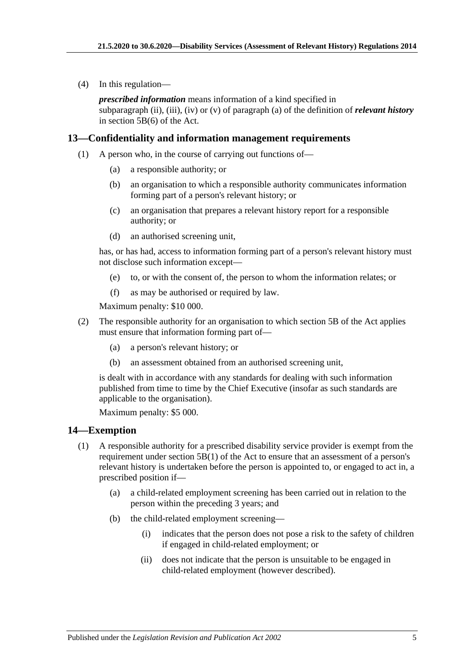(4) In this regulation—

*prescribed information* means information of a kind specified in subparagraph (ii), (iii), (iv) or (v) of paragraph (a) of the definition of *relevant history* in section 5B(6) of the Act.

#### <span id="page-4-0"></span>**13—Confidentiality and information management requirements**

- (1) A person who, in the course of carrying out functions of—
	- (a) a responsible authority; or
	- (b) an organisation to which a responsible authority communicates information forming part of a person's relevant history; or
	- (c) an organisation that prepares a relevant history report for a responsible authority; or
	- (d) an authorised screening unit,

has, or has had, access to information forming part of a person's relevant history must not disclose such information except—

- (e) to, or with the consent of, the person to whom the information relates; or
- (f) as may be authorised or required by law.

Maximum penalty: \$10 000.

- (2) The responsible authority for an organisation to which section 5B of the Act applies must ensure that information forming part of—
	- (a) a person's relevant history; or
	- (b) an assessment obtained from an authorised screening unit,

is dealt with in accordance with any standards for dealing with such information published from time to time by the Chief Executive (insofar as such standards are applicable to the organisation).

Maximum penalty: \$5 000.

#### <span id="page-4-1"></span>**14—Exemption**

- (1) A responsible authority for a prescribed disability service provider is exempt from the requirement under section 5B(1) of the Act to ensure that an assessment of a person's relevant history is undertaken before the person is appointed to, or engaged to act in, a prescribed position if—
	- (a) a child-related employment screening has been carried out in relation to the person within the preceding 3 years; and
	- (b) the child-related employment screening—
		- (i) indicates that the person does not pose a risk to the safety of children if engaged in child-related employment; or
		- (ii) does not indicate that the person is unsuitable to be engaged in child-related employment (however described).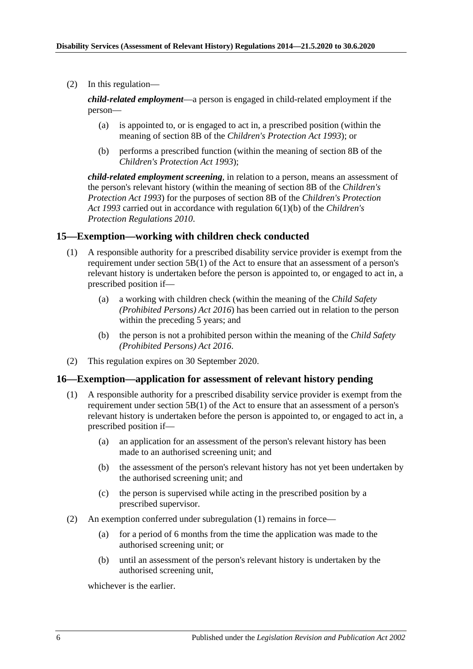(2) In this regulation—

*child-related employment*—a person is engaged in child-related employment if the person—

- (a) is appointed to, or is engaged to act in, a prescribed position (within the meaning of section 8B of the *[Children's Protection Act](http://www.legislation.sa.gov.au/index.aspx?action=legref&type=act&legtitle=Childrens%20Protection%20Act%201993) 1993*); or
- (b) performs a prescribed function (within the meaning of section 8B of the *[Children's Protection Act](http://www.legislation.sa.gov.au/index.aspx?action=legref&type=act&legtitle=Childrens%20Protection%20Act%201993) 1993*);

*child-related employment screening*, in relation to a person, means an assessment of the person's relevant history (within the meaning of section 8B of the *[Children's](http://www.legislation.sa.gov.au/index.aspx?action=legref&type=act&legtitle=Childrens%20Protection%20Act%201993)  [Protection Act](http://www.legislation.sa.gov.au/index.aspx?action=legref&type=act&legtitle=Childrens%20Protection%20Act%201993) 1993*) for the purposes of section 8B of the *[Children's Protection](http://www.legislation.sa.gov.au/index.aspx?action=legref&type=act&legtitle=Childrens%20Protection%20Act%201993)  Act [1993](http://www.legislation.sa.gov.au/index.aspx?action=legref&type=act&legtitle=Childrens%20Protection%20Act%201993)* carried out in accordance with regulation 6(1)(b) of the *[Children's](http://www.legislation.sa.gov.au/index.aspx?action=legref&type=subordleg&legtitle=Childrens%20Protection%20Regulations%202010)  [Protection Regulations](http://www.legislation.sa.gov.au/index.aspx?action=legref&type=subordleg&legtitle=Childrens%20Protection%20Regulations%202010) 2010*.

#### <span id="page-5-0"></span>**15—Exemption—working with children check conducted**

- (1) A responsible authority for a prescribed disability service provider is exempt from the requirement under section 5B(1) of the Act to ensure that an assessment of a person's relevant history is undertaken before the person is appointed to, or engaged to act in, a prescribed position if—
	- (a) a working with children check (within the meaning of the *[Child Safety](http://www.legislation.sa.gov.au/index.aspx?action=legref&type=act&legtitle=Child%20Safety%20(Prohibited%20Persons)%20Act%202016)  [\(Prohibited Persons\) Act](http://www.legislation.sa.gov.au/index.aspx?action=legref&type=act&legtitle=Child%20Safety%20(Prohibited%20Persons)%20Act%202016) 2016*) has been carried out in relation to the person within the preceding 5 years; and
	- (b) the person is not a prohibited person within the meaning of the *[Child Safety](http://www.legislation.sa.gov.au/index.aspx?action=legref&type=act&legtitle=Child%20Safety%20(Prohibited%20Persons)%20Act%202016)  [\(Prohibited Persons\) Act](http://www.legislation.sa.gov.au/index.aspx?action=legref&type=act&legtitle=Child%20Safety%20(Prohibited%20Persons)%20Act%202016) 2016*.
- (2) This regulation expires on 30 September 2020.

#### <span id="page-5-2"></span><span id="page-5-1"></span>**16—Exemption—application for assessment of relevant history pending**

- (1) A responsible authority for a prescribed disability service provider is exempt from the requirement under section 5B(1) of the Act to ensure that an assessment of a person's relevant history is undertaken before the person is appointed to, or engaged to act in, a prescribed position if—
	- (a) an application for an assessment of the person's relevant history has been made to an authorised screening unit; and
	- (b) the assessment of the person's relevant history has not yet been undertaken by the authorised screening unit; and
	- (c) the person is supervised while acting in the prescribed position by a prescribed supervisor.
- (2) An exemption conferred under [subregulation](#page-5-2) (1) remains in force—
	- (a) for a period of 6 months from the time the application was made to the authorised screening unit; or
	- (b) until an assessment of the person's relevant history is undertaken by the authorised screening unit,

whichever is the earlier.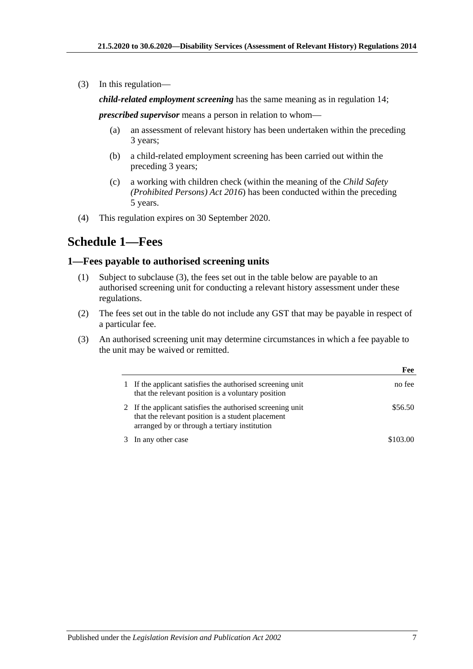(3) In this regulation—

*child-related employment screening* has the same meaning as in [regulation](#page-4-1) 14;

*prescribed supervisor* means a person in relation to whom—

- (a) an assessment of relevant history has been undertaken within the preceding 3 years;
- (b) a child-related employment screening has been carried out within the preceding 3 years;
- (c) a working with children check (within the meaning of the *[Child Safety](http://www.legislation.sa.gov.au/index.aspx?action=legref&type=act&legtitle=Child%20Safety%20(Prohibited%20Persons)%20Act%202016)  [\(Prohibited Persons\) Act](http://www.legislation.sa.gov.au/index.aspx?action=legref&type=act&legtitle=Child%20Safety%20(Prohibited%20Persons)%20Act%202016) 2016*) has been conducted within the preceding 5 years.
- (4) This regulation expires on 30 September 2020.

## <span id="page-6-0"></span>**Schedule 1—Fees**

#### <span id="page-6-1"></span>**1—Fees payable to authorised screening units**

- (1) Subject to [subclause](#page-6-2) (3), the fees set out in the table below are payable to an authorised screening unit for conducting a relevant history assessment under these regulations.
- (2) The fees set out in the table do not include any GST that may be payable in respect of a particular fee.
- <span id="page-6-2"></span>(3) An authorised screening unit may determine circumstances in which a fee payable to the unit may be waived or remitted.

|                                                                                                                                                                  | Fee      |
|------------------------------------------------------------------------------------------------------------------------------------------------------------------|----------|
| If the applicant satisfies the authorised screening unit<br>that the relevant position is a voluntary position                                                   | no fee   |
| 2 If the applicant satisfies the authorised screening unit<br>that the relevant position is a student placement<br>arranged by or through a tertiary institution | \$56.50  |
| In any other case                                                                                                                                                | \$103.00 |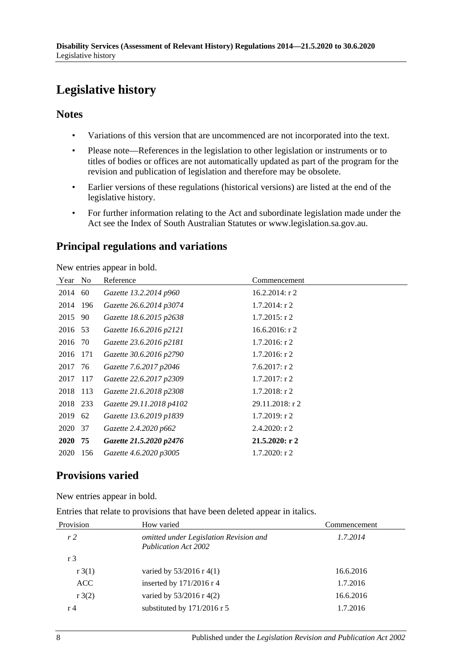# <span id="page-7-0"></span>**Legislative history**

#### **Notes**

- Variations of this version that are uncommenced are not incorporated into the text.
- Please note—References in the legislation to other legislation or instruments or to titles of bodies or offices are not automatically updated as part of the program for the revision and publication of legislation and therefore may be obsolete.
- Earlier versions of these regulations (historical versions) are listed at the end of the legislative history.
- For further information relating to the Act and subordinate legislation made under the Act see the Index of South Australian Statutes or www.legislation.sa.gov.au.

## **Principal regulations and variations**

New entries appear in bold.

| Year        | N <sub>0</sub> | Reference                | Commencement      |
|-------------|----------------|--------------------------|-------------------|
| 2014        | 60             | Gazette 13.2.2014 p960   | 16.2.2014: $r$ 2  |
| 2014 196    |                | Gazette 26.6.2014 p3074  | $1.7.2014$ : r 2  |
| 2015 90     |                | Gazette 18.6.2015 p2638  | $1.7.2015$ : r 2  |
| 2016 53     |                | Gazette 16.6.2016 p2121  | $16.6.2016$ : r 2 |
| 2016 70     |                | Gazette 23.6.2016 p2181  | $1.7.2016$ : r 2  |
| 2016        | 171            | Gazette 30.6.2016 p2790  | $1.7.2016$ : r 2  |
| 2017 76     |                | Gazette 7.6.2017 p2046   | $7.6.2017$ : r 2  |
| 2017        | 117            | Gazette 22.6.2017 p2309  | $1.7.2017$ : r 2  |
| 2018 113    |                | Gazette 21.6.2018 p2308  | $1.7.2018$ : r 2  |
| 2018 233    |                | Gazette 29.11.2018 p4102 | 29.11.2018: r 2   |
| 2019        | 62             | Gazette 13.6.2019 p1839  | $1.7.2019$ : r 2  |
| 2020        | 37             | Gazette 2.4.2020 p662    | 2.4.2020: r2      |
| <b>2020</b> | 75             | Gazette 21.5.2020 p2476  | 21.5.2020: r2     |
| 2020        | 156            | Gazette 4.6.2020 p3005   | $1.7.2020$ : r 2  |

## **Provisions varied**

New entries appear in bold.

Entries that relate to provisions that have been deleted appear in italics.

| Provision      | How varied                                                            | Commencement |  |
|----------------|-----------------------------------------------------------------------|--------------|--|
| r <sub>2</sub> | omitted under Legislation Revision and<br><b>Publication Act 2002</b> | 1.7.2014     |  |
| r <sub>3</sub> |                                                                       |              |  |
| $r \cdot 3(1)$ | varied by $53/2016$ r 4(1)                                            | 16.6.2016    |  |
| ACC            | inserted by $171/2016$ r 4                                            | 1.7.2016     |  |
| $r \cdot 3(2)$ | varied by $53/2016$ r 4(2)                                            | 16.6.2016    |  |
| r 4            | substituted by 171/2016 r 5                                           | 1.7.2016     |  |